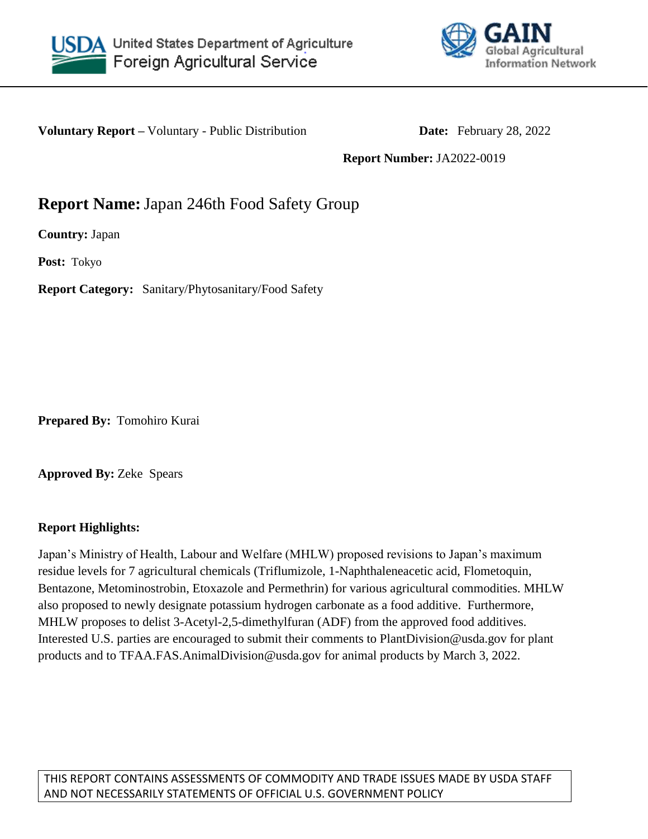



**Voluntary Report** – Voluntary - Public Distribution **Date:** February 28, 2022

**Report Number:** JA2022-0019

## **Report Name:**Japan 246th Food Safety Group

**Country:** Japan

**Post:** Tokyo

**Report Category:** Sanitary/Phytosanitary/Food Safety

**Prepared By:** Tomohiro Kurai

**Approved By:** Zeke Spears

## **Report Highlights:**

Japan's Ministry of Health, Labour and Welfare (MHLW) proposed revisions to Japan's maximum residue levels for 7 agricultural chemicals (Triflumizole, 1-Naphthaleneacetic acid, Flometoquin, Bentazone, Metominostrobin, Etoxazole and Permethrin) for various agricultural commodities. MHLW also proposed to newly designate potassium hydrogen carbonate as a food additive. Furthermore, MHLW proposes to delist 3-Acetyl-2,5-dimethylfuran (ADF) from the approved food additives. Interested U.S. parties are encouraged to submit their comments to PlantDivision@usda.gov for plant products and to TFAA.FAS.AnimalDivision@usda.gov for animal products by March 3, 2022.

THIS REPORT CONTAINS ASSESSMENTS OF COMMODITY AND TRADE ISSUES MADE BY USDA STAFF AND NOT NECESSARILY STATEMENTS OF OFFICIAL U.S. GOVERNMENT POLICY